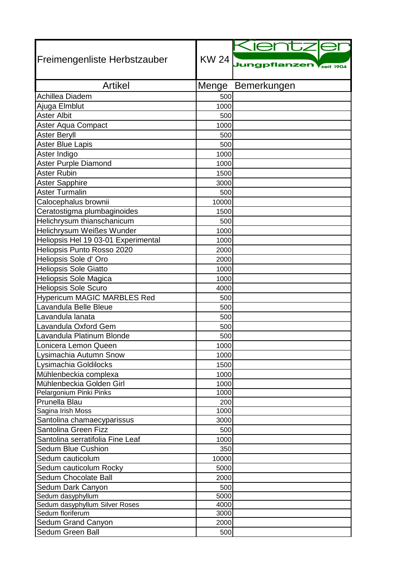|                                                    |              | Kientzl                                 |
|----------------------------------------------------|--------------|-----------------------------------------|
| Freimengenliste Herbstzauber                       |              |                                         |
|                                                    |              | KW 24 Jungpflanzen<br><b>Vseit 1904</b> |
|                                                    |              |                                         |
| <b>Artikel</b>                                     | Menge        | Bemerkungen                             |
| Achillea Diadem                                    | 500          |                                         |
| Ajuga Elmblut<br><b>Aster Albit</b>                | 1000         |                                         |
|                                                    | 500          |                                         |
| Aster Aqua Compact                                 | 1000         |                                         |
| Aster Beryll                                       | 500          |                                         |
| Aster Blue Lapis                                   | 500          |                                         |
| Aster Indigo                                       | 1000         |                                         |
| Aster Purple Diamond                               | 1000         |                                         |
| Aster Rubin                                        | 1500         |                                         |
| <b>Aster Sapphire</b>                              | 3000         |                                         |
| <b>Aster Turmalin</b>                              | 500          |                                         |
| Calocephalus brownii                               | 10000        |                                         |
| Ceratostigma plumbaginoides                        | 1500         |                                         |
| Helichrysum thianschanicum                         | 500          |                                         |
| Helichrysum Weißes Wunder                          | 1000         |                                         |
| Heliopsis Hel 19 03-01 Experimental                | 1000         |                                         |
| Heliopsis Punto Rosso 2020                         | 2000         |                                         |
| Heliopsis Sole d' Oro                              | 2000         |                                         |
| <b>Heliopsis Sole Giatto</b>                       | 1000         |                                         |
| Heliopsis Sole Magica                              | 1000         |                                         |
| <b>Heliopsis Sole Scuro</b>                        | 4000         |                                         |
| <b>Hypericum MAGIC MARBLES Red</b>                 | 500          |                                         |
| Lavandula Belle Bleue                              | 500          |                                         |
| Lavandula lanata                                   | 500          |                                         |
| Lavandula Oxford Gem                               | 500          |                                         |
| Lavandula Platinum Blonde                          | 500          |                                         |
| Lonicera Lemon Queen                               | 1000         |                                         |
| Lysimachia Autumn Snow                             | 1000         |                                         |
| Lysimachia Goldilocks                              | 1500         |                                         |
| Mühlenbeckia complexa                              | 1000         |                                         |
| Mühlenbeckia Golden Girl                           | 1000         |                                         |
| Pelargonium Pinki Pinks                            | 1000         |                                         |
| Prunella Blau                                      | 200          |                                         |
| Sagina Irish Moss                                  | 1000         |                                         |
| Santolina chamaecyparissus                         | 3000         |                                         |
| Santolina Green Fizz                               | 500          |                                         |
| Santolina serratifolia Fine Leaf                   | 1000         |                                         |
| <b>Sedum Blue Cushion</b>                          | 350          |                                         |
| Sedum cauticolum                                   | 10000        |                                         |
| Sedum cauticolum Rocky                             | 5000         |                                         |
| Sedum Chocolate Ball                               | 2000         |                                         |
| Sedum Dark Canyon                                  | 500          |                                         |
| Sedum dasyphyllum                                  | 5000         |                                         |
| Sedum dasyphyllum Silver Roses<br>Sedum floriferum | 4000<br>3000 |                                         |
| Sedum Grand Canyon                                 | 2000         |                                         |
| Sedum Green Ball                                   | 500          |                                         |
|                                                    |              |                                         |